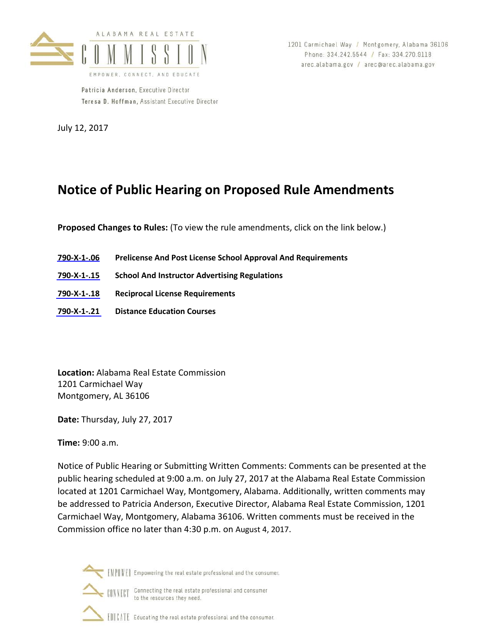

Patricia Anderson, Executive Director Teresa D. Hoffman, Assistant Executive Director

July 12, 2017

1201 Carmichael Way / Montgomery, Alabama 36106 Phone: 334.242.5544 / Fax: 334.270.9118 arec.alabama.gov / arec@arec.alabama.gov

# **Notice of Public Hearing on Proposed Rule Amendments**

**Proposed Changes to Rules:** (To view the rule amendments, click on the link below.)

- **[790-X-1-.06](#page-1-0) Prelicense And Post License School Approval And Requirements**
- **[790-X-1-.15](#page-4-0) School And Instructor Advertising Regulations**
- **[790-X-1-.18](#page-5-0) Reciprocal License Requirements**
- **[790-X-1-.21](#page-8-0) Distance Education Courses**

**Location:** Alabama Real Estate Commission 1201 Carmichael Way Montgomery, AL 36106

**Date:** Thursday, July 27, 2017

**Time:** 9:00 a.m.

Notice of Public Hearing or Submitting Written Comments: Comments can be presented at the public hearing scheduled at 9:00 a.m. on July 27, 2017 at the Alabama Real Estate Commission located at 1201 Carmichael Way, Montgomery, Alabama. Additionally, written comments may be addressed to Patricia Anderson, Executive Director, Alabama Real Estate Commission, 1201 Carmichael Way, Montgomery, Alabama 36106. Written comments must be received in the Commission office no later than 4:30 p.m. on August 4, 2017.



[VIIVE] Empowering the real estate professional and the consumer.

**CONNECT** Connecting the real estate professional and consumer to the resources they need.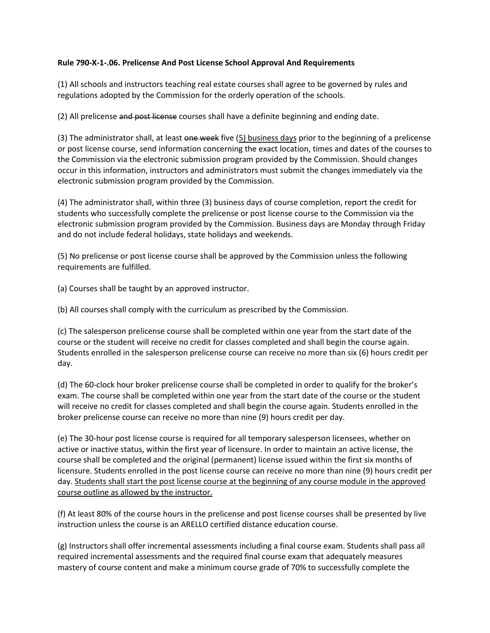## <span id="page-1-0"></span>**Rule 790-X-1-.06. Prelicense And Post License School Approval And Requirements**

(1) All schools and instructors teaching real estate courses shall agree to be governed by rules and regulations adopted by the Commission for the orderly operation of the schools.

(2) All prelicense and post license courses shall have a definite beginning and ending date.

(3) The administrator shall, at least one week five  $(5)$  business days prior to the beginning of a prelicense or post license course, send information concerning the exact location, times and dates of the courses to the Commission via the electronic submission program provided by the Commission. Should changes occur in this information, instructors and administrators must submit the changes immediately via the electronic submission program provided by the Commission.

(4) The administrator shall, within three (3) business days of course completion, report the credit for students who successfully complete the prelicense or post license course to the Commission via the electronic submission program provided by the Commission. Business days are Monday through Friday and do not include federal holidays, state holidays and weekends.

(5) No prelicense or post license course shall be approved by the Commission unless the following requirements are fulfilled.

(a) Courses shall be taught by an approved instructor.

(b) All courses shall comply with the curriculum as prescribed by the Commission.

(c) The salesperson prelicense course shall be completed within one year from the start date of the course or the student will receive no credit for classes completed and shall begin the course again. Students enrolled in the salesperson prelicense course can receive no more than six (6) hours credit per day.

(d) The 60-clock hour broker prelicense course shall be completed in order to qualify for the broker's exam. The course shall be completed within one year from the start date of the course or the student will receive no credit for classes completed and shall begin the course again. Students enrolled in the broker prelicense course can receive no more than nine (9) hours credit per day.

(e) The 30-hour post license course is required for all temporary salesperson licensees, whether on active or inactive status, within the first year of licensure. In order to maintain an active license, the course shall be completed and the original (permanent) license issued within the first six months of licensure. Students enrolled in the post license course can receive no more than nine (9) hours credit per day. Students shall start the post license course at the beginning of any course module in the approved course outline as allowed by the instructor.

(f) At least 80% of the course hours in the prelicense and post license courses shall be presented by live instruction unless the course is an ARELLO certified distance education course.

(g) Instructors shall offer incremental assessments including a final course exam. Students shall pass all required incremental assessments and the required final course exam that adequately measures mastery of course content and make a minimum course grade of 70% to successfully complete the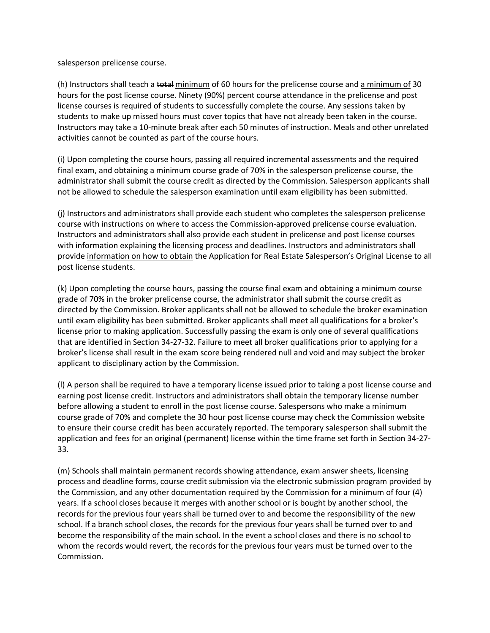salesperson prelicense course.

(h) Instructors shall teach a total minimum of 60 hours for the prelicense course and a minimum of 30 hours for the post license course. Ninety (90%) percent course attendance in the prelicense and post license courses is required of students to successfully complete the course. Any sessions taken by students to make up missed hours must cover topics that have not already been taken in the course. Instructors may take a 10-minute break after each 50 minutes of instruction. Meals and other unrelated activities cannot be counted as part of the course hours.

(i) Upon completing the course hours, passing all required incremental assessments and the required final exam, and obtaining a minimum course grade of 70% in the salesperson prelicense course, the administrator shall submit the course credit as directed by the Commission. Salesperson applicants shall not be allowed to schedule the salesperson examination until exam eligibility has been submitted.

(j) Instructors and administrators shall provide each student who completes the salesperson prelicense course with instructions on where to access the Commission-approved prelicense course evaluation. Instructors and administrators shall also provide each student in prelicense and post license courses with information explaining the licensing process and deadlines. Instructors and administrators shall provide information on how to obtain the Application for Real Estate Salesperson's Original License to all post license students.

(k) Upon completing the course hours, passing the course final exam and obtaining a minimum course grade of 70% in the broker prelicense course, the administrator shall submit the course credit as directed by the Commission. Broker applicants shall not be allowed to schedule the broker examination until exam eligibility has been submitted. Broker applicants shall meet all qualifications for a broker's license prior to making application. Successfully passing the exam is only one of several qualifications that are identified in Section 34-27-32. Failure to meet all broker qualifications prior to applying for a broker's license shall result in the exam score being rendered null and void and may subject the broker applicant to disciplinary action by the Commission.

(l) A person shall be required to have a temporary license issued prior to taking a post license course and earning post license credit. Instructors and administrators shall obtain the temporary license number before allowing a student to enroll in the post license course. Salespersons who make a minimum course grade of 70% and complete the 30 hour post license course may check the Commission website to ensure their course credit has been accurately reported. The temporary salesperson shall submit the application and fees for an original (permanent) license within the time frame set forth in Section 34-27- 33.

(m) Schools shall maintain permanent records showing attendance, exam answer sheets, licensing process and deadline forms, course credit submission via the electronic submission program provided by the Commission, and any other documentation required by the Commission for a minimum of four (4) years. If a school closes because it merges with another school or is bought by another school, the records for the previous four years shall be turned over to and become the responsibility of the new school. If a branch school closes, the records for the previous four years shall be turned over to and become the responsibility of the main school. In the event a school closes and there is no school to whom the records would revert, the records for the previous four years must be turned over to the Commission.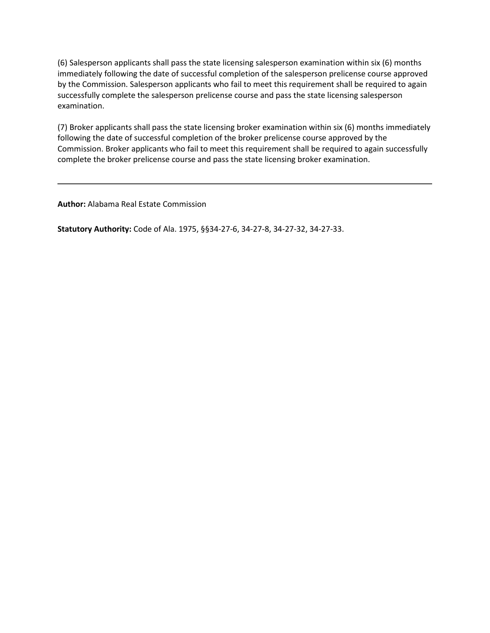(6) Salesperson applicants shall pass the state licensing salesperson examination within six (6) months immediately following the date of successful completion of the salesperson prelicense course approved by the Commission. Salesperson applicants who fail to meet this requirement shall be required to again successfully complete the salesperson prelicense course and pass the state licensing salesperson examination.

(7) Broker applicants shall pass the state licensing broker examination within six (6) months immediately following the date of successful completion of the broker prelicense course approved by the Commission. Broker applicants who fail to meet this requirement shall be required to again successfully complete the broker prelicense course and pass the state licensing broker examination.

**Author:** Alabama Real Estate Commission

**Statutory Authority:** Code of Ala. 1975, §§34-27-6, 34-27-8, 34-27-32, 34-27-33.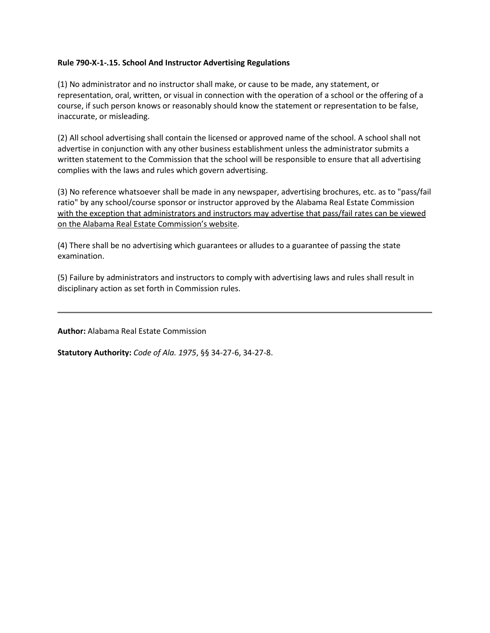### <span id="page-4-0"></span>**Rule 790-X-1-.15. School And Instructor Advertising Regulations**

(1) No administrator and no instructor shall make, or cause to be made, any statement, or representation, oral, written, or visual in connection with the operation of a school or the offering of a course, if such person knows or reasonably should know the statement or representation to be false, inaccurate, or misleading.

(2) All school advertising shall contain the licensed or approved name of the school. A school shall not advertise in conjunction with any other business establishment unless the administrator submits a written statement to the Commission that the school will be responsible to ensure that all advertising complies with the laws and rules which govern advertising.

(3) No reference whatsoever shall be made in any newspaper, advertising brochures, etc. as to "pass/fail ratio" by any school/course sponsor or instructor approved by the Alabama Real Estate Commission with the exception that administrators and instructors may advertise that pass/fail rates can be viewed on the Alabama Real Estate Commission's website.

(4) There shall be no advertising which guarantees or alludes to a guarantee of passing the state examination.

(5) Failure by administrators and instructors to comply with advertising laws and rules shall result in disciplinary action as set forth in Commission rules.

**Author:** Alabama Real Estate Commission

**Statutory Authority:** *Code of Ala. 1975*, §§ 34-27-6, 34-27-8.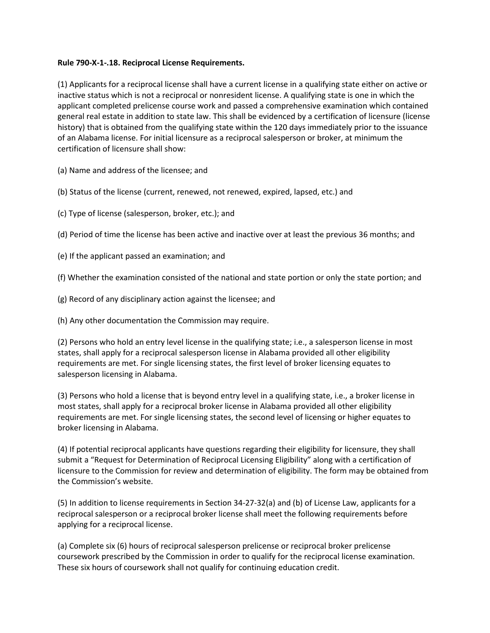### <span id="page-5-0"></span>**Rule 790-X-1-.18. Reciprocal License Requirements.**

(1) Applicants for a reciprocal license shall have a current license in a qualifying state either on active or inactive status which is not a reciprocal or nonresident license. A qualifying state is one in which the applicant completed prelicense course work and passed a comprehensive examination which contained general real estate in addition to state law. This shall be evidenced by a certification of licensure (license history) that is obtained from the qualifying state within the 120 days immediately prior to the issuance of an Alabama license. For initial licensure as a reciprocal salesperson or broker, at minimum the certification of licensure shall show:

(a) Name and address of the licensee; and

(b) Status of the license (current, renewed, not renewed, expired, lapsed, etc.) and

(c) Type of license (salesperson, broker, etc.); and

(d) Period of time the license has been active and inactive over at least the previous 36 months; and

(e) If the applicant passed an examination; and

(f) Whether the examination consisted of the national and state portion or only the state portion; and

(g) Record of any disciplinary action against the licensee; and

(h) Any other documentation the Commission may require.

(2) Persons who hold an entry level license in the qualifying state; i.e., a salesperson license in most states, shall apply for a reciprocal salesperson license in Alabama provided all other eligibility requirements are met. For single licensing states, the first level of broker licensing equates to salesperson licensing in Alabama.

(3) Persons who hold a license that is beyond entry level in a qualifying state, i.e., a broker license in most states, shall apply for a reciprocal broker license in Alabama provided all other eligibility requirements are met. For single licensing states, the second level of licensing or higher equates to broker licensing in Alabama.

(4) If potential reciprocal applicants have questions regarding their eligibility for licensure, they shall submit a "Request for Determination of Reciprocal Licensing Eligibility" along with a certification of licensure to the Commission for review and determination of eligibility. The form may be obtained from the Commission's website.

(5) In addition to license requirements in Section 34-27-32(a) and (b) of License Law, applicants for a reciprocal salesperson or a reciprocal broker license shall meet the following requirements before applying for a reciprocal license.

(a) Complete six (6) hours of reciprocal salesperson prelicense or reciprocal broker prelicense coursework prescribed by the Commission in order to qualify for the reciprocal license examination. These six hours of coursework shall not qualify for continuing education credit.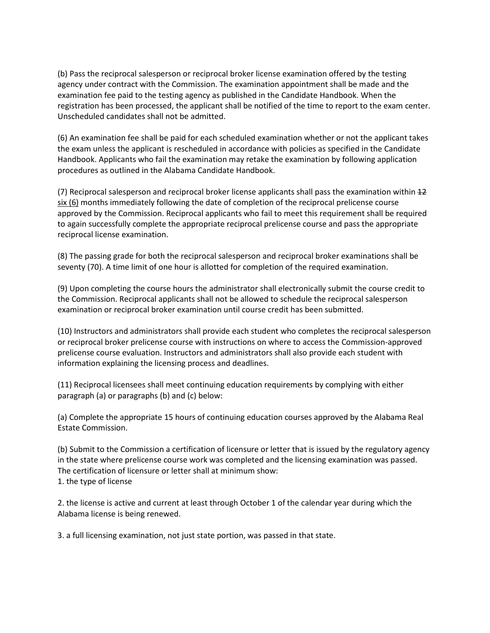(b) Pass the reciprocal salesperson or reciprocal broker license examination offered by the testing agency under contract with the Commission. The examination appointment shall be made and the examination fee paid to the testing agency as published in the Candidate Handbook. When the registration has been processed, the applicant shall be notified of the time to report to the exam center. Unscheduled candidates shall not be admitted.

(6) An examination fee shall be paid for each scheduled examination whether or not the applicant takes the exam unless the applicant is rescheduled in accordance with policies as specified in the Candidate Handbook. Applicants who fail the examination may retake the examination by following application procedures as outlined in the Alabama Candidate Handbook.

(7) Reciprocal salesperson and reciprocal broker license applicants shall pass the examination within 12 six (6) months immediately following the date of completion of the reciprocal prelicense course approved by the Commission. Reciprocal applicants who fail to meet this requirement shall be required to again successfully complete the appropriate reciprocal prelicense course and pass the appropriate reciprocal license examination.

(8) The passing grade for both the reciprocal salesperson and reciprocal broker examinations shall be seventy (70). A time limit of one hour is allotted for completion of the required examination.

(9) Upon completing the course hours the administrator shall electronically submit the course credit to the Commission. Reciprocal applicants shall not be allowed to schedule the reciprocal salesperson examination or reciprocal broker examination until course credit has been submitted.

(10) Instructors and administrators shall provide each student who completes the reciprocal salesperson or reciprocal broker prelicense course with instructions on where to access the Commission-approved prelicense course evaluation. Instructors and administrators shall also provide each student with information explaining the licensing process and deadlines.

(11) Reciprocal licensees shall meet continuing education requirements by complying with either paragraph (a) or paragraphs (b) and (c) below:

(a) Complete the appropriate 15 hours of continuing education courses approved by the Alabama Real Estate Commission.

(b) Submit to the Commission a certification of licensure or letter that is issued by the regulatory agency in the state where prelicense course work was completed and the licensing examination was passed. The certification of licensure or letter shall at minimum show: 1. the type of license

2. the license is active and current at least through October 1 of the calendar year during which the Alabama license is being renewed.

3. a full licensing examination, not just state portion, was passed in that state.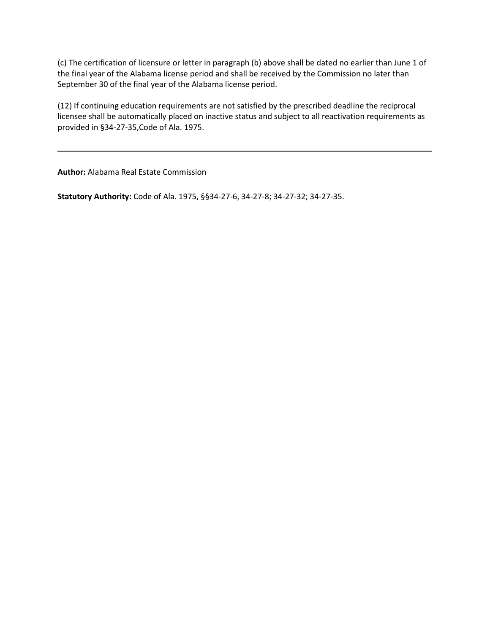(c) The certification of licensure or letter in paragraph (b) above shall be dated no earlier than June 1 of the final year of the Alabama license period and shall be received by the Commission no later than September 30 of the final year of the Alabama license period.

(12) If continuing education requirements are not satisfied by the prescribed deadline the reciprocal licensee shall be automatically placed on inactive status and subject to all reactivation requirements as provided in §34-27-35,Code of Ala. 1975.

**Author:** Alabama Real Estate Commission

**Statutory Authority:** Code of Ala. 1975, §§34-27-6, 34-27-8; 34-27-32; 34-27-35.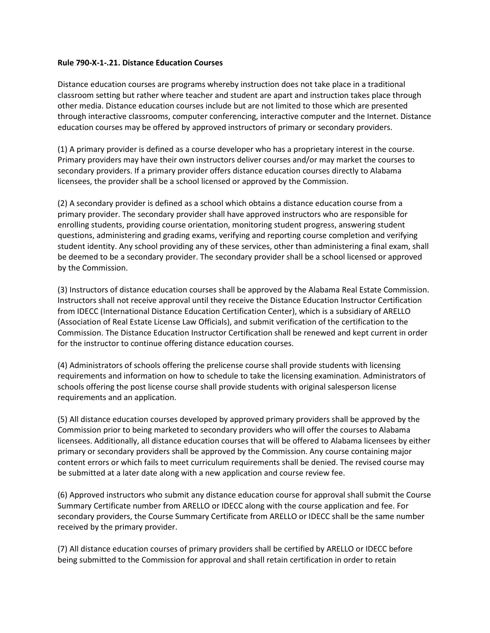### <span id="page-8-0"></span>**Rule 790-X-1-.21. Distance Education Courses**

Distance education courses are programs whereby instruction does not take place in a traditional classroom setting but rather where teacher and student are apart and instruction takes place through other media. Distance education courses include but are not limited to those which are presented through interactive classrooms, computer conferencing, interactive computer and the Internet. Distance education courses may be offered by approved instructors of primary or secondary providers.

(1) A primary provider is defined as a course developer who has a proprietary interest in the course. Primary providers may have their own instructors deliver courses and/or may market the courses to secondary providers. If a primary provider offers distance education courses directly to Alabama licensees, the provider shall be a school licensed or approved by the Commission.

(2) A secondary provider is defined as a school which obtains a distance education course from a primary provider. The secondary provider shall have approved instructors who are responsible for enrolling students, providing course orientation, monitoring student progress, answering student questions, administering and grading exams, verifying and reporting course completion and verifying student identity. Any school providing any of these services, other than administering a final exam, shall be deemed to be a secondary provider. The secondary provider shall be a school licensed or approved by the Commission.

(3) Instructors of distance education courses shall be approved by the Alabama Real Estate Commission. Instructors shall not receive approval until they receive the Distance Education Instructor Certification from IDECC (International Distance Education Certification Center), which is a subsidiary of ARELLO (Association of Real Estate License Law Officials), and submit verification of the certification to the Commission. The Distance Education Instructor Certification shall be renewed and kept current in order for the instructor to continue offering distance education courses.

(4) Administrators of schools offering the prelicense course shall provide students with licensing requirements and information on how to schedule to take the licensing examination. Administrators of schools offering the post license course shall provide students with original salesperson license requirements and an application.

(5) All distance education courses developed by approved primary providers shall be approved by the Commission prior to being marketed to secondary providers who will offer the courses to Alabama licensees. Additionally, all distance education courses that will be offered to Alabama licensees by either primary or secondary providers shall be approved by the Commission. Any course containing major content errors or which fails to meet curriculum requirements shall be denied. The revised course may be submitted at a later date along with a new application and course review fee.

(6) Approved instructors who submit any distance education course for approval shall submit the Course Summary Certificate number from ARELLO or IDECC along with the course application and fee. For secondary providers, the Course Summary Certificate from ARELLO or IDECC shall be the same number received by the primary provider.

(7) All distance education courses of primary providers shall be certified by ARELLO or IDECC before being submitted to the Commission for approval and shall retain certification in order to retain